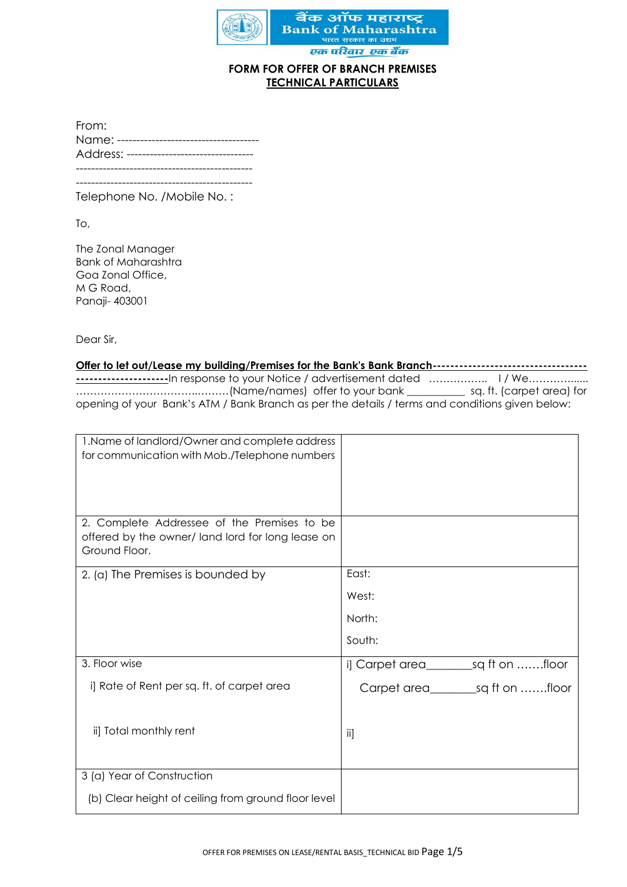

#### **FORM FOR OFFER OF BRANCH PREMISES TECHNICAL PARTICULARS**

| From:                               |
|-------------------------------------|
| Name: ------------------------      |
| Address: -------------------------- |
|                                     |
|                                     |

Telephone No. /Mobile No. :

To,

The Zonal Manager Bank of Maharashtra Goa Zonal Office, M G Road, Panaji- 403001

Dear Sir,

**Offer to let out/Lease my building/Premises for the Bank's Bank Branch----------------------------------- ---------------------**In response to your Notice / advertisement dated …………….. I / We…………...... ……………………………..………(Name/names) offer to your bank \_\_\_\_\_\_\_\_\_\_\_ sq. ft. (carpet area) for opening of your Bank's ATM / Bank Branch as per the details / terms and conditions given below:

| 1. Name of landlord/Owner and complete address<br>for communication with Mob./Telephone numbers                  |                                            |
|------------------------------------------------------------------------------------------------------------------|--------------------------------------------|
|                                                                                                                  |                                            |
| 2. Complete Addressee of the Premises to be<br>offered by the owner/land lord for long lease on<br>Ground Floor. |                                            |
| 2. (a) The Premises is bounded by                                                                                | East:                                      |
|                                                                                                                  | West:                                      |
|                                                                                                                  | North:                                     |
|                                                                                                                  | South:                                     |
| 3. Floor wise                                                                                                    | i] Carpet area______________sq ft on floor |
| i] Rate of Rent per sq. ft. of carpet area                                                                       |                                            |
| ii] Total monthly rent                                                                                           | -ii]                                       |
| 3 (a) Year of Construction                                                                                       |                                            |
| (b) Clear height of ceiling from ground floor level                                                              |                                            |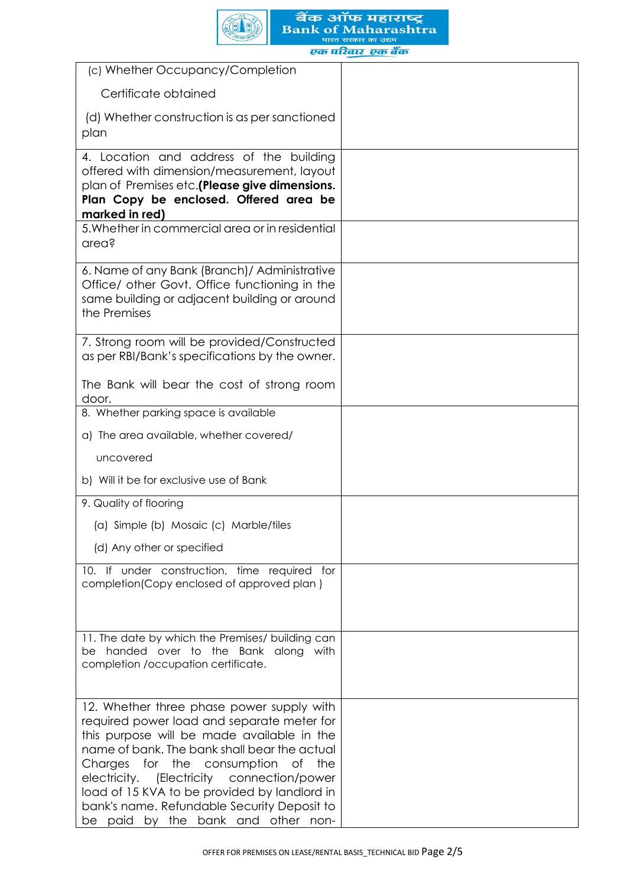

| (c) Whether Occupancy/Completion                                                                                                                                                                                                                                                                                                                                                                               |  |
|----------------------------------------------------------------------------------------------------------------------------------------------------------------------------------------------------------------------------------------------------------------------------------------------------------------------------------------------------------------------------------------------------------------|--|
| Certificate obtained                                                                                                                                                                                                                                                                                                                                                                                           |  |
| (d) Whether construction is as per sanctioned<br>plan                                                                                                                                                                                                                                                                                                                                                          |  |
| 4. Location and address of the building<br>offered with dimension/measurement, layout<br>plan of Premises etc.(Please give dimensions.<br>Plan Copy be enclosed. Offered area be                                                                                                                                                                                                                               |  |
| marked in red)<br>5. Whether in commercial area or in residential<br>area?                                                                                                                                                                                                                                                                                                                                     |  |
| 6. Name of any Bank (Branch)/ Administrative<br>Office/ other Govt. Office functioning in the<br>same building or adjacent building or around<br>the Premises                                                                                                                                                                                                                                                  |  |
| 7. Strong room will be provided/Constructed<br>as per RBI/Bank's specifications by the owner.                                                                                                                                                                                                                                                                                                                  |  |
| The Bank will bear the cost of strong room<br>door.                                                                                                                                                                                                                                                                                                                                                            |  |
| 8. Whether parking space is available                                                                                                                                                                                                                                                                                                                                                                          |  |
| a) The area available, whether covered/                                                                                                                                                                                                                                                                                                                                                                        |  |
| uncovered                                                                                                                                                                                                                                                                                                                                                                                                      |  |
| b) Will it be for exclusive use of Bank                                                                                                                                                                                                                                                                                                                                                                        |  |
| 9. Quality of flooring                                                                                                                                                                                                                                                                                                                                                                                         |  |
| (a) Simple (b) Mosaic (c) Marble/tiles                                                                                                                                                                                                                                                                                                                                                                         |  |
| (d) Any other or specified                                                                                                                                                                                                                                                                                                                                                                                     |  |
| 10. If under construction, time required for<br>completion(Copy enclosed of approved plan)                                                                                                                                                                                                                                                                                                                     |  |
| 11. The date by which the Premises/ building can<br>be handed over to the Bank along with<br>completion /occupation certificate.                                                                                                                                                                                                                                                                               |  |
| 12. Whether three phase power supply with<br>required power load and separate meter for<br>this purpose will be made available in the<br>name of bank. The bank shall bear the actual<br>Charges for the consumption of the<br>electricity. (Electricity connection/power<br>load of 15 KVA to be provided by landlord in<br>bank's name. Refundable Security Deposit to<br>be paid by the bank and other non- |  |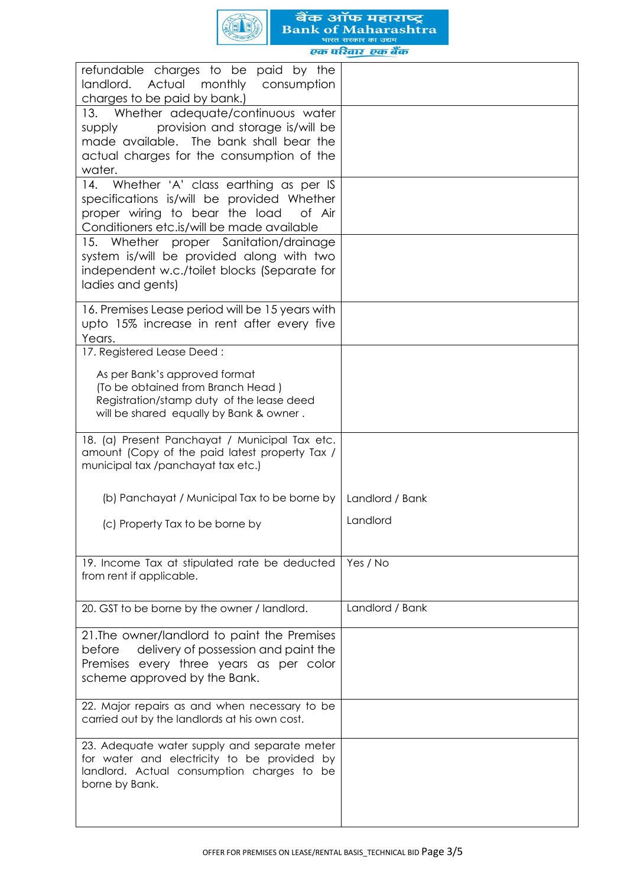

refundable charges to be paid by the landlord. Actual monthly consumption charges to be paid by bank.) 13. Whether adequate/continuous water supply provision and storage is/will be made available. The bank shall bear the actual charges for the consumption of the water. 14. Whether 'A' class earthing as per IS specifications is/will be provided Whether proper wiring to bear the load of Air Conditioners etc.is/will be made available 15. Whether proper Sanitation/drainage system is/will be provided along with two independent w.c./toilet blocks (Separate for ladies and gents) 16. Premises Lease period will be 15 years with upto 15% increase in rent after every five Years. 17. Registered Lease Deed : As per Bank's approved format (To be obtained from Branch Head ) Registration/stamp duty of the lease deed will be shared equally by Bank & owner. 18. (a) Present Panchayat / Municipal Tax etc. amount (Copy of the paid latest property Tax / municipal tax /panchayat tax etc.) (b) Panchayat / Municipal Tax to be borne by (c) Property Tax to be borne by Landlord / Bank Landlord 19. Income Tax at stipulated rate be deducted from rent if applicable. Yes / No 20. GST to be borne by the owner / landlord. | Landlord / Bank 21.The owner/landlord to paint the Premises before delivery of possession and paint the Premises every three years as per color scheme approved by the Bank. 22. Major repairs as and when necessary to be carried out by the landlords at his own cost. 23. Adequate water supply and separate meter for water and electricity to be provided by landlord. Actual consumption charges to be borne by Bank.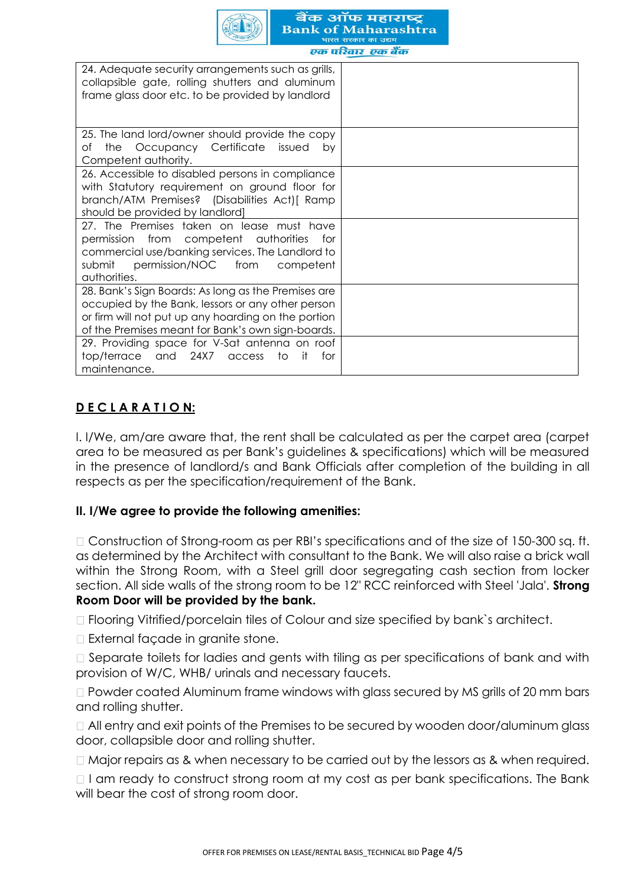

| 24. Adequate security arrangements such as grills,<br>collapsible gate, rolling shutters and aluminum<br>frame glass door etc. to be provided by landlord                                                            |  |
|----------------------------------------------------------------------------------------------------------------------------------------------------------------------------------------------------------------------|--|
|                                                                                                                                                                                                                      |  |
| 25. The land lord/owner should provide the copy<br>the Occupancy Certificate issued<br>оf<br>bv<br>Competent authority.                                                                                              |  |
| 26. Accessible to disabled persons in compliance<br>with Statutory requirement on ground floor for<br>branch/ATM Premises? (Disabilities Act) [ Ramp<br>should be provided by landlord]                              |  |
| 27. The Premises taken on lease must have<br>permission from competent authorities<br>tor<br>commercial use/banking services. The Landlord to<br>submit permission/NOC from<br>competent<br>authorities.             |  |
| 28. Bank's Sign Boards: As long as the Premises are<br>occupied by the Bank, lessors or any other person<br>or firm will not put up any hoarding on the portion<br>of the Premises meant for Bank's own sign-boards. |  |
| 29. Providing space for V-Sat antenna on roof<br>and 24X7<br>top/terrace<br>-it<br>to<br>for<br>access<br>maintenance.                                                                                               |  |

# **D E C L A R A T I O N:**

I. I/We, am/are aware that, the rent shall be calculated as per the carpet area (carpet area to be measured as per Bank's guidelines & specifications) which will be measured in the presence of landlord/s and Bank Officials after completion of the building in all respects as per the specification/requirement of the Bank.

# **II. I/We agree to provide the following amenities:**

 $\Box$  Construction of Strong-room as per RBI's specifications and of the size of 150-300 sq. ft. as determined by the Architect with consultant to the Bank. We will also raise a brick wall within the Strong Room, with a Steel grill door segregating cash section from locker section. All side walls of the strong room to be 12" RCC reinforced with Steel 'Jala'. **Strong Room Door will be provided by the bank.** 

Flooring Vitrified/porcelain tiles of Colour and size specified by bank`s architect.

External façade in granite stone.

□ Separate toilets for ladies and gents with tiling as per specifications of bank and with provision of W/C, WHB/ urinals and necessary faucets.

□ Powder coated Aluminum frame windows with glass secured by MS grills of 20 mm bars and rolling shutter.

All entry and exit points of the Premises to be secured by wooden door/aluminum glass door, collapsible door and rolling shutter.

 $\Box$  Major repairs as & when necessary to be carried out by the lessors as & when required.

 $\Box$  I am ready to construct strong room at my cost as per bank specifications. The Bank will bear the cost of strong room door.